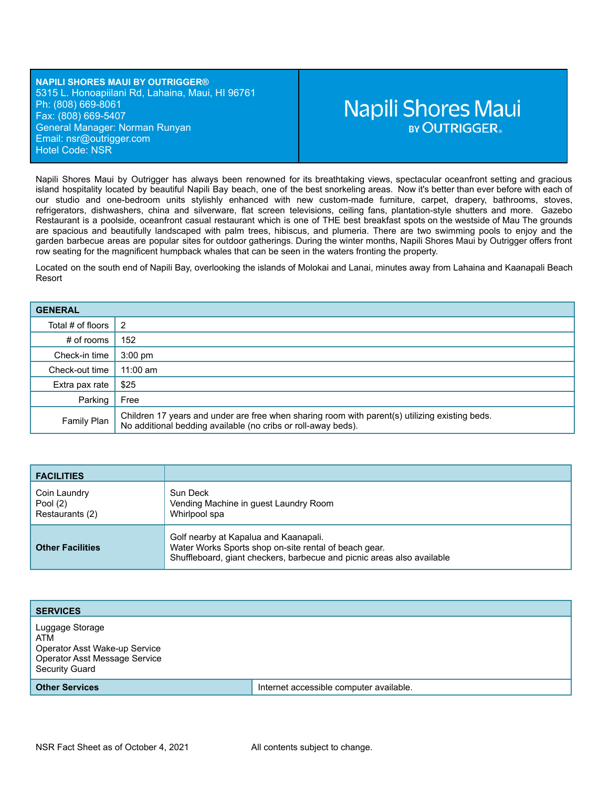**NAPILI SHORES MAUI BY OUTRIGGER®** 5315 L. Honoapiilani Rd, Lahaina, Maui, HI 96761 Ph: (808) 669-8061 Fax: (808) 669-5407 General Manager: Norman Runyan Email: ns[r@outrigger.com](mailto:orf@outrigger.com) Hotel Code: NSR

# **Napili Shores Maui BY OUTRIGGER.**

Napili Shores Maui by Outrigger has always been renowned for its breathtaking views, spectacular oceanfront setting and gracious island hospitality located by beautiful Napili Bay beach, one of the best snorkeling areas. Now it's better than ever before with each of our studio and one-bedroom units stylishly enhanced with new custom-made furniture, carpet, drapery, bathrooms, stoves, refrigerators, dishwashers, china and silverware, flat screen televisions, ceiling fans, plantation-style shutters and more. Gazebo Restaurant is a poolside, oceanfront casual restaurant which is one of THE best breakfast spots on the westside of Mau The grounds are spacious and beautifully landscaped with palm trees, hibiscus, and plumeria. There are two swimming pools to enjoy and the garden barbecue areas are popular sites for outdoor gatherings. During the winter months, Napili Shores Maui by Outrigger offers front row seating for the magnificent humpback whales that can be seen in the waters fronting the property.

Located on the south end of Napili Bay, overlooking the islands of Molokai and Lanai, minutes away from Lahaina and Kaanapali Beach Resort

| <b>GENERAL</b>    |                                                                                                                                                                 |
|-------------------|-----------------------------------------------------------------------------------------------------------------------------------------------------------------|
| Total # of floors | $\overline{2}$                                                                                                                                                  |
| $#$ of rooms      | 152                                                                                                                                                             |
| Check-in time     | $3:00$ pm                                                                                                                                                       |
| Check-out time    | $11:00$ am                                                                                                                                                      |
| Extra pax rate    | \$25                                                                                                                                                            |
| Parking           | Free                                                                                                                                                            |
| Family Plan       | Children 17 years and under are free when sharing room with parent(s) utilizing existing beds.<br>No additional bedding available (no cribs or roll-away beds). |

| <b>FACILITIES</b>                             |                                                                                                                                                                          |
|-----------------------------------------------|--------------------------------------------------------------------------------------------------------------------------------------------------------------------------|
| Coin Laundry<br>Pool $(2)$<br>Restaurants (2) | Sun Deck<br>Vending Machine in guest Laundry Room<br>Whirlpool spa                                                                                                       |
| <b>Other Facilities</b>                       | Golf nearby at Kapalua and Kaanapali.<br>Water Works Sports shop on-site rental of beach gear.<br>Shuffleboard, giant checkers, barbecue and picnic areas also available |

| <b>SERVICES</b>                                                                                                   |                                         |
|-------------------------------------------------------------------------------------------------------------------|-----------------------------------------|
| Luggage Storage<br>ATM<br>Operator Asst Wake-up Service<br>Operator Asst Message Service<br><b>Security Guard</b> |                                         |
| <b>Other Services</b>                                                                                             | Internet accessible computer available. |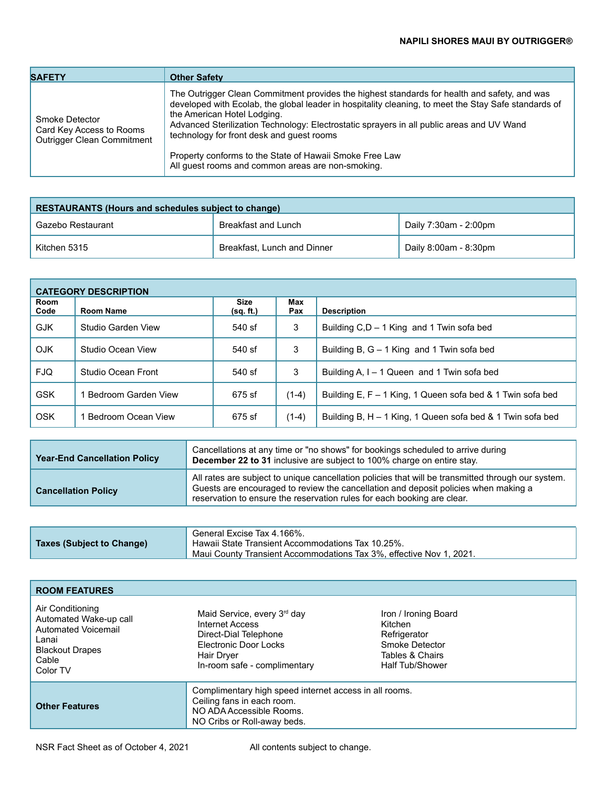| <b>SAFETY</b>                                                                   | <b>Other Safety</b>                                                                                                                                                                                                                                                                                                                                                                                                                                                                           |
|---------------------------------------------------------------------------------|-----------------------------------------------------------------------------------------------------------------------------------------------------------------------------------------------------------------------------------------------------------------------------------------------------------------------------------------------------------------------------------------------------------------------------------------------------------------------------------------------|
| Smoke Detector<br>Card Key Access to Rooms<br><b>Outrigger Clean Commitment</b> | The Outrigger Clean Commitment provides the highest standards for health and safety, and was<br>developed with Ecolab, the global leader in hospitality cleaning, to meet the Stay Safe standards of<br>the American Hotel Lodging.<br>Advanced Sterilization Technology: Electrostatic sprayers in all public areas and UV Wand<br>technology for front desk and guest rooms<br>Property conforms to the State of Hawaii Smoke Free Law<br>All quest rooms and common areas are non-smoking. |

| <b>RESTAURANTS (Hours and schedules subject to change)</b> |                             |                       |  |
|------------------------------------------------------------|-----------------------------|-----------------------|--|
| Gazebo Restaurant                                          | Breakfast and Lunch         | Daily 7:30am - 2:00pm |  |
| Kitchen 5315                                               | Breakfast, Lunch and Dinner | Daily 8:00am - 8:30pm |  |

| <b>CATEGORY DESCRIPTION</b> |                     |                   |            |                                                            |
|-----------------------------|---------------------|-------------------|------------|------------------------------------------------------------|
| Room<br>Code                | Room Name           | Size<br>(sq. ft.) | Max<br>Pax | <b>Description</b>                                         |
| <b>GJK</b>                  | Studio Garden View  | 540 sf            | 3          | Building C,D - 1 King and 1 Twin sofa bed                  |
| <b>OJK</b>                  | Studio Ocean View   | 540 sf            | 3          | Building B, $G - 1$ King and 1 Twin sofa bed               |
| <b>FJQ</b>                  | Studio Ocean Front  | 540 sf            | 3          | Building A, I – 1 Queen and 1 Twin sofa bed                |
| <b>GSK</b>                  | Bedroom Garden View | 675 sf            | $(1-4)$    | Building E, F – 1 King, 1 Queen sofa bed & 1 Twin sofa bed |
| OSK                         | Bedroom Ocean View  | 675 sf            | $(1-4)$    | Building B, H – 1 King, 1 Queen sofa bed & 1 Twin sofa bed |

| <b>Year-End Cancellation Policy</b> | Cancellations at any time or "no shows" for bookings scheduled to arrive during<br>December 22 to 31 inclusive are subject to 100% charge on entire stay.                                                                                                            |
|-------------------------------------|----------------------------------------------------------------------------------------------------------------------------------------------------------------------------------------------------------------------------------------------------------------------|
| <b>Cancellation Policy</b>          | All rates are subject to unique cancellation policies that will be transmitted through our system.<br>Guests are encouraged to review the cancellation and deposit policies when making a<br>reservation to ensure the reservation rules for each booking are clear. |

| Taxes (Subject to Change) | General Excise Tax 4.166%.<br>Hawaii State Transient Accommodations Tax 10.25%.<br>Maui County Transient Accommodations Tax 3%, effective Nov 1, 2021. |
|---------------------------|--------------------------------------------------------------------------------------------------------------------------------------------------------|
|---------------------------|--------------------------------------------------------------------------------------------------------------------------------------------------------|

| <b>ROOM FEATURES</b>                                                                                                      |                                                                                                                                                                   |                                                                                                                |  |
|---------------------------------------------------------------------------------------------------------------------------|-------------------------------------------------------------------------------------------------------------------------------------------------------------------|----------------------------------------------------------------------------------------------------------------|--|
| Air Conditioning<br>Automated Wake-up call<br>Automated Voicemail<br>Lanai<br><b>Blackout Drapes</b><br>Cable<br>Color TV | Maid Service, every 3 <sup>rd</sup> day<br>Internet Access<br>Direct-Dial Telephone<br><b>Electronic Door Locks</b><br>Hair Dryer<br>In-room safe - complimentary | Iron / Ironing Board<br>Kitchen<br>Refrigerator<br>Smoke Detector<br>Tables & Chairs<br><b>Half Tub/Shower</b> |  |
| <b>Other Features</b>                                                                                                     | Complimentary high speed internet access in all rooms.<br>Ceiling fans in each room.<br>NO ADA Accessible Rooms<br>NO Cribs or Roll-away beds.                    |                                                                                                                |  |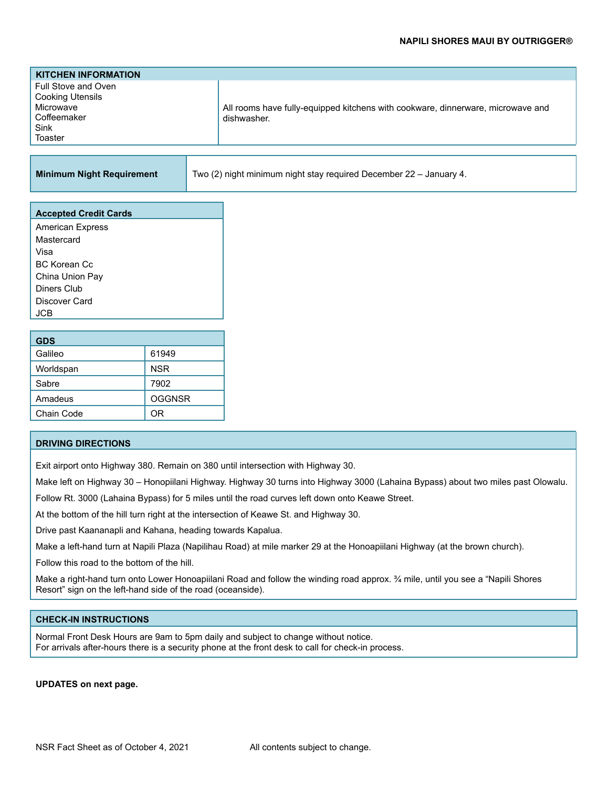| <b>KITCHEN INFORMATION</b>                                                                    |                                                                                                |
|-----------------------------------------------------------------------------------------------|------------------------------------------------------------------------------------------------|
| Full Stove and Oven<br><b>Cooking Utensils</b><br>Microwave<br>Coffeemaker<br>Sink<br>Toaster | All rooms have fully-equipped kitchens with cookware, dinnerware, microwave and<br>dishwasher. |
|                                                                                               |                                                                                                |

**Minimum Night Requirement** Two (2) night minimum night stay required December 22 – January 4.

| <b>Accepted Credit Cards</b> |
|------------------------------|
| <b>American Express</b>      |
| Mastercard                   |
| Visa                         |
| <b>BC Korean Cc</b>          |
| China Union Pay              |
| Diners Club                  |
| Discover Card                |
| <b>JCB</b>                   |
|                              |
|                              |

| <b>GDS</b> |               |
|------------|---------------|
| Galileo    | 61949         |
| Worldspan  | <b>NSR</b>    |
| Sabre      | 7902          |
| Amadeus    | <b>OGGNSR</b> |
| Chain Code | ΩR            |

## **DRIVING DIRECTIONS**

Exit airport onto Highway 380. Remain on 380 until intersection with Highway 30.

Make left on Highway 30 – Honopiilani Highway. Highway 30 turns into Highway 3000 (Lahaina Bypass) about two miles past Olowalu.

Follow Rt. 3000 (Lahaina Bypass) for 5 miles until the road curves left down onto Keawe Street.

At the bottom of the hill turn right at the intersection of Keawe St. and Highway 30.

Drive past Kaananapli and Kahana, heading towards Kapalua.

Make a left-hand turn at Napili Plaza (Napilihau Road) at mile marker 29 at the Honoapiilani Highway (at the brown church).

Follow this road to the bottom of the hill.

Make a right-hand turn onto Lower Honoapiilani Road and follow the winding road approx. ¾ mile, until you see a "Napili Shores Resort" sign on the left-hand side of the road (oceanside).

#### **CHECK-IN INSTRUCTIONS**

Normal Front Desk Hours are 9am to 5pm daily and subject to change without notice. For arrivals after-hours there is a security phone at the front desk to call for check-in process.

# **UPDATES on next page.**